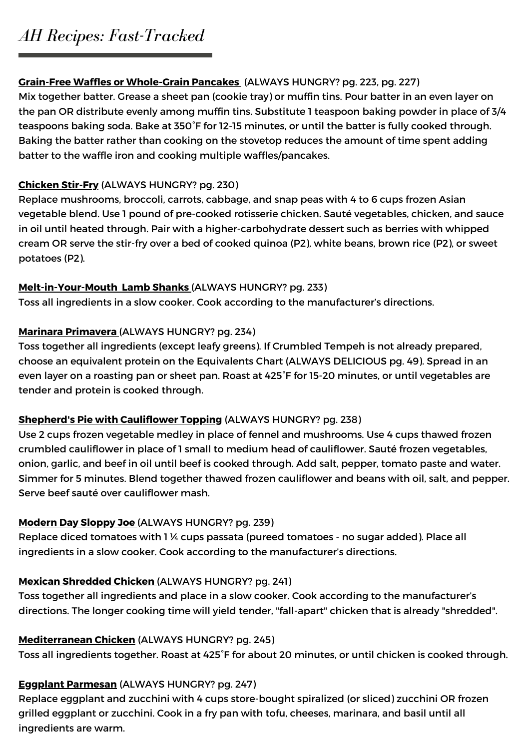# *AH Recipes: Fast-Tracked*

# **Grain-Free Waffles or Whole-Grain Pancakes** (ALWAYS HUNGRY? pg. 223, pg. 227)

Mix together batter. Grease a sheet pan (cookie tray) or muffin tins. Pour batter in an even layer on the pan OR distribute evenly among muffin tins. Substitute 1 teaspoon baking powder in place of 3/4 teaspoons baking soda. Bake at 350°F for 12-15 minutes, or until the batter is fully cooked through. Baking the batter rather than cooking on the stovetop reduces the amount of time spent adding batter to the waffle iron and cooking multiple waffles/pancakes.

# **Chicken Stir-Fry** (ALWAYS HUNGRY? pg. 230)

Replace mushrooms, broccoli, carrots, cabbage, and snap peas with 4 to 6 cups frozen Asian vegetable blend. Use 1 pound of pre-cooked rotisserie chicken. Sauté vegetables, chicken, and sauce in oil until heated through. Pair with a higher-carbohydrate dessert such as berries with whipped cream OR serve the stir-fry over a bed of cooked quinoa (P2), white beans, brown rice (P2), or sweet potatoes (P2).

# **Melt-in-Your-Mouth Lamb Shanks** (ALWAYS HUNGRY? pg. 233)

Toss all ingredients in a slow cooker. Cook according to the manufacturer's directions.

# **Marinara Primavera** (ALWAYS HUNGRY? pg. 234)

Toss together all ingredients (except leafy greens). If Crumbled Tempeh is not already prepared, choose an equivalent protein on the Equivalents Chart (ALWAYS DELICIOUS pg. 49). Spread in an even layer on a roasting pan or sheet pan. Roast at 425°F for 15-20 minutes, or until vegetables are tender and protein is cooked through.

# **Shepherd's Pie with Cauliflower Topping** (ALWAYS HUNGRY? pg. 238)

Use 2 cups frozen vegetable medley in place of fennel and mushrooms. Use 4 cups thawed frozen crumbled cauliflower in place of 1 small to medium head of cauliflower. Sauté frozen vegetables, onion, garlic, and beef in oil until beef is cooked through. Add salt, pepper, tomato paste and water. Simmer for 5 minutes. Blend together thawed frozen cauliflower and beans with oil, salt, and pepper. Serve beef sauté over cauliflower mash.

# **Modern Day Sloppy Joe** (ALWAYS HUNGRY? pg. 239)

Replace diced tomatoes with 1 ¼ cups passata (pureed tomatoes - no sugar added). Place all ingredients in a slow cooker. Cook according to the manufacturer's directions.

# **Mexican Shredded Chicken** (ALWAYS HUNGRY? pg. 241)

Toss together all ingredients and place in a slow cooker. Cook according to the manufacturer's directions. The longer cooking time will yield tender, "fall-apart" chicken that is already "shredded".

# **Mediterranean Chicken** (ALWAYS HUNGRY? pg. 245)

Toss all ingredients together. Roast at 425°F for about 20 minutes, or until chicken is cooked through.

# **Eggplant Parmesan** (ALWAYS HUNGRY? pg. 247)

Replace eggplant and zucchini with 4 cups store-bought spiralized (or sliced) zucchini OR frozen grilled eggplant or zucchini. Cook in a fry pan with tofu, cheeses, marinara, and basil until all ingredients are warm.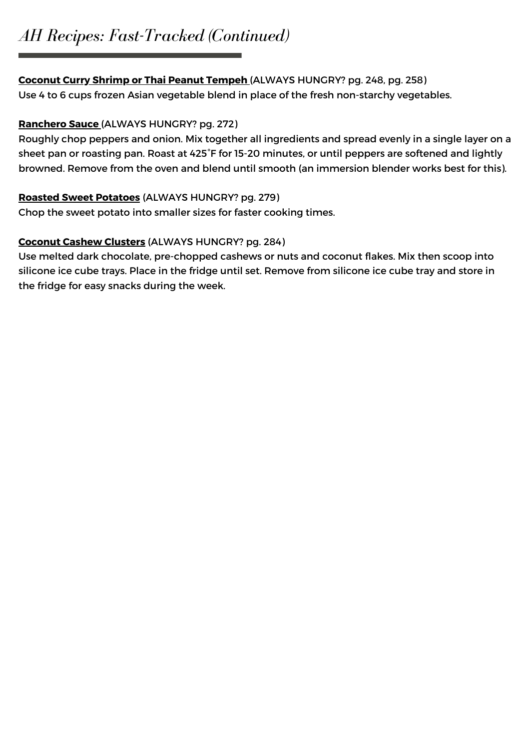# *AH Recipes: Fast-Tracked (Continued)*

## **Coconut Curry Shrimp or Thai Peanut Tempeh** (ALWAYS HUNGRY? pg. 248, pg. 258)

Use 4 to 6 cups frozen Asian vegetable blend in place of the fresh non-starchy vegetables.

## **Ranchero Sauce** (ALWAYS HUNGRY? pg. 272)

Roughly chop peppers and onion. Mix together all ingredients and spread evenly in a single layer on a sheet pan or roasting pan. Roast at 425°F for 15-20 minutes, or until peppers are softened and lightly browned. Remove from the oven and blend until smooth (an immersion blender works best for this).

## **Roasted Sweet Potatoes** (ALWAYS HUNGRY? pg. 279)

Chop the sweet potato into smaller sizes for faster cooking times.

## **Coconut Cashew Clusters** (ALWAYS HUNGRY? pg. 284)

Use melted dark chocolate, pre-chopped cashews or nuts and coconut flakes. Mix then scoop into silicone ice cube trays. Place in the fridge until set. Remove from silicone ice cube tray and store in the fridge for easy snacks during the week.